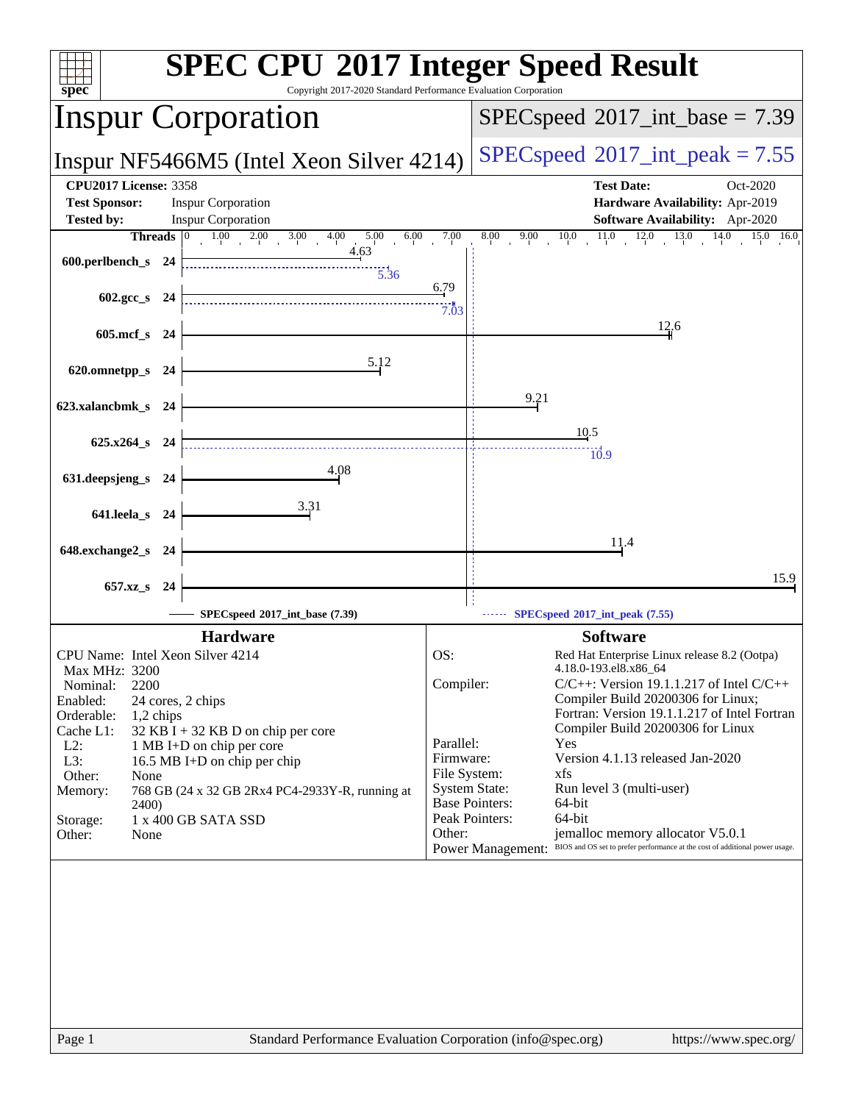| spec                         |              | <b>SPEC CPU®2017 Integer Speed Result</b><br>Copyright 2017-2020 Standard Performance Evaluation Corporation |                           |                                            |                                                                                                      |
|------------------------------|--------------|--------------------------------------------------------------------------------------------------------------|---------------------------|--------------------------------------------|------------------------------------------------------------------------------------------------------|
|                              |              | <b>Inspur Corporation</b>                                                                                    |                           |                                            | $SPEC speed^{\circ}2017\_int\_base = 7.39$                                                           |
|                              |              | Inspur NF5466M5 (Intel Xeon Silver 4214)                                                                     |                           | $SPEC speed^{\circ}2017\_int\_peak = 7.55$ |                                                                                                      |
| <b>CPU2017 License: 3358</b> |              |                                                                                                              |                           |                                            | <b>Test Date:</b><br>Oct-2020                                                                        |
| <b>Test Sponsor:</b>         |              | <b>Inspur Corporation</b>                                                                                    |                           | Hardware Availability: Apr-2019            |                                                                                                      |
| <b>Tested by:</b>            | Threads 0    | <b>Inspur Corporation</b><br>$1.00$ $2.00$ $3.00$<br>4.00<br>6.00                                            | 7.00                      | 8.00<br>9.00                               | <b>Software Availability:</b> Apr-2020<br>$11.0\,$<br>12.0<br>13.0<br>14.0<br>$\overline{15.0}$ 16.0 |
|                              |              | 5.00<br>4.63                                                                                                 |                           |                                            | 10.0                                                                                                 |
| 600.perlbench_s 24           |              | $\frac{11}{5.36}$                                                                                            |                           |                                            |                                                                                                      |
|                              |              |                                                                                                              | 6.79                      |                                            |                                                                                                      |
|                              | 602.gcc_s 24 |                                                                                                              | 7.03                      |                                            |                                                                                                      |
|                              | 605.mcf_s 24 |                                                                                                              |                           |                                            | 12.6                                                                                                 |
|                              |              |                                                                                                              |                           |                                            |                                                                                                      |
| 620.omnetpp_s 24             |              | 5.12                                                                                                         |                           |                                            |                                                                                                      |
|                              |              |                                                                                                              |                           |                                            |                                                                                                      |
| 623.xalancbmk_s 24           |              |                                                                                                              |                           | 9.21                                       |                                                                                                      |
|                              |              |                                                                                                              |                           |                                            | 10.5                                                                                                 |
| 625.x264_s 24                |              |                                                                                                              |                           |                                            | $\overline{10.9}$                                                                                    |
|                              |              | 4.08                                                                                                         |                           |                                            |                                                                                                      |
| 631.deepsjeng_s 24           |              |                                                                                                              |                           |                                            |                                                                                                      |
| 641.leela_s 24               |              | 3.31                                                                                                         |                           |                                            |                                                                                                      |
|                              |              |                                                                                                              |                           |                                            |                                                                                                      |
| 648.exchange2_s 24           |              |                                                                                                              |                           |                                            | 11.4                                                                                                 |
|                              |              |                                                                                                              |                           |                                            |                                                                                                      |
|                              | 657.xz_s 24  |                                                                                                              |                           |                                            | 15.9                                                                                                 |
|                              |              | SPECspeed®2017_int_base (7.39)                                                                               |                           |                                            | SPECspeed®2017_int_peak (7.55)                                                                       |
|                              |              | <b>Hardware</b>                                                                                              |                           |                                            | <b>Software</b>                                                                                      |
|                              |              | CPU Name: Intel Xeon Silver 4214                                                                             | OS:                       |                                            | Red Hat Enterprise Linux release 8.2 (Ootpa)                                                         |
| Max MHz: 3200                |              |                                                                                                              |                           |                                            | 4.18.0-193.el8.x86_64                                                                                |
| Nominal:                     | 2200         |                                                                                                              | Compiler:                 |                                            | $C/C++$ : Version 19.1.1.217 of Intel $C/C++$<br>Compiler Build 20200306 for Linux;                  |
| Enabled:<br>Orderable:       | 1,2 chips    | 24 cores, 2 chips                                                                                            |                           |                                            | Fortran: Version 19.1.1.217 of Intel Fortran                                                         |
| Cache L1:                    |              | 32 KB I + 32 KB D on chip per core                                                                           |                           |                                            | Compiler Build 20200306 for Linux                                                                    |
| $L2$ :                       |              | 1 MB I+D on chip per core                                                                                    | Parallel:                 |                                            | Yes<br>Version 4.1.13 released Jan-2020                                                              |
| L3:<br>Other:                | None         | 16.5 MB I+D on chip per chip                                                                                 | Firmware:<br>File System: |                                            | xfs                                                                                                  |
| Memory:                      |              | 768 GB (24 x 32 GB 2Rx4 PC4-2933Y-R, running at                                                              |                           | <b>System State:</b>                       | Run level 3 (multi-user)                                                                             |
|                              | 2400)        |                                                                                                              |                           | <b>Base Pointers:</b>                      | 64-bit                                                                                               |
| Storage:<br>Other:           | None         | 1 x 400 GB SATA SSD                                                                                          | Other:                    | Peak Pointers:                             | 64-bit<br>jemalloc memory allocator V5.0.1                                                           |
|                              |              |                                                                                                              |                           | <b>Power Management:</b>                   | BIOS and OS set to prefer performance at the cost of additional power usage.                         |
|                              |              |                                                                                                              |                           |                                            |                                                                                                      |
|                              |              |                                                                                                              |                           |                                            |                                                                                                      |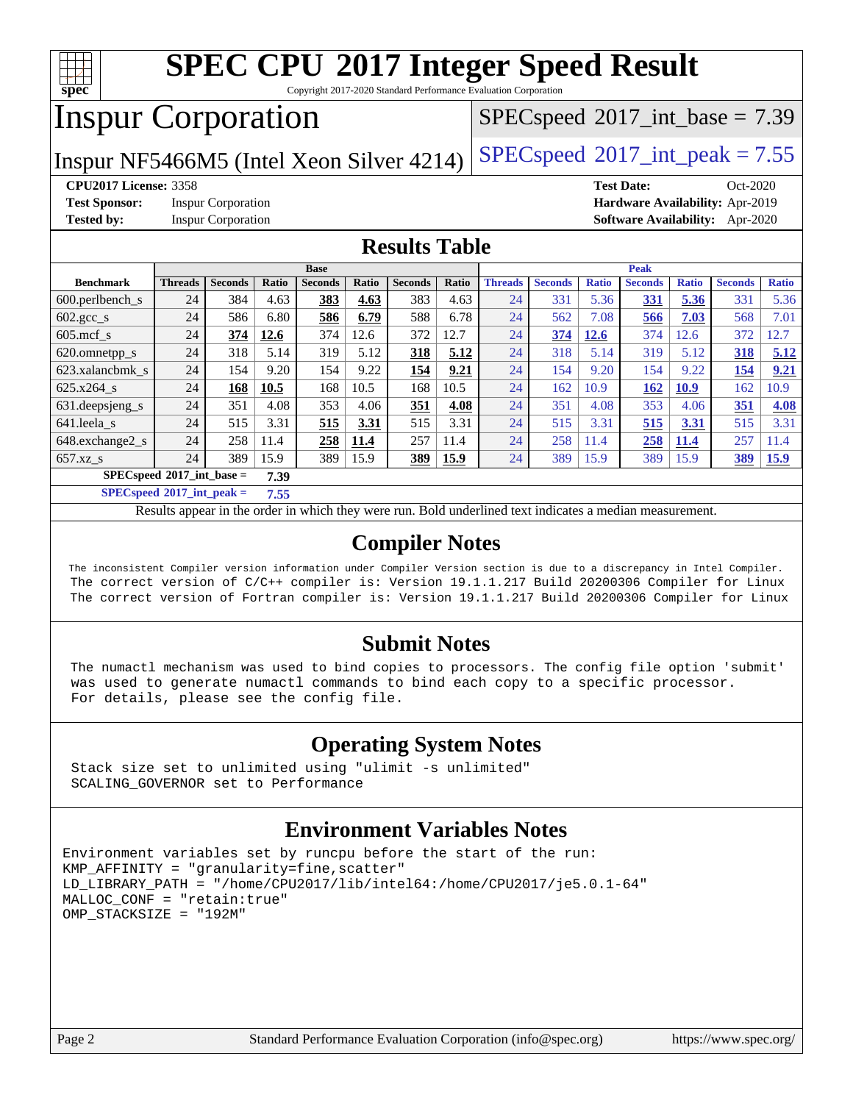

Copyright 2017-2020 Standard Performance Evaluation Corporation

# Inspur Corporation

 $SPECspeed^{\circledcirc}2017\_int\_base = 7.39$  $SPECspeed^{\circledcirc}2017\_int\_base = 7.39$ 

Inspur NF5466M5 (Intel Xeon Silver 4214) [SPECspeed](http://www.spec.org/auto/cpu2017/Docs/result-fields.html#SPECspeed2017intpeak)<sup>®</sup>2017\_int\_peak =  $7.55$ 

**[CPU2017 License:](http://www.spec.org/auto/cpu2017/Docs/result-fields.html#CPU2017License)** 3358 **[Test Date:](http://www.spec.org/auto/cpu2017/Docs/result-fields.html#TestDate)** Oct-2020

**[Test Sponsor:](http://www.spec.org/auto/cpu2017/Docs/result-fields.html#TestSponsor)** Inspur Corporation **[Hardware Availability:](http://www.spec.org/auto/cpu2017/Docs/result-fields.html#HardwareAvailability)** Apr-2019

**[Tested by:](http://www.spec.org/auto/cpu2017/Docs/result-fields.html#Testedby)** Inspur Corporation **[Software Availability:](http://www.spec.org/auto/cpu2017/Docs/result-fields.html#SoftwareAvailability)** Apr-2020

### **[Results Table](http://www.spec.org/auto/cpu2017/Docs/result-fields.html#ResultsTable)**

|                                            | <b>Base</b>    |                |       |                |       |                |       | <b>Peak</b>    |                |              |                |              |                |              |
|--------------------------------------------|----------------|----------------|-------|----------------|-------|----------------|-------|----------------|----------------|--------------|----------------|--------------|----------------|--------------|
| <b>Benchmark</b>                           | <b>Threads</b> | <b>Seconds</b> | Ratio | <b>Seconds</b> | Ratio | <b>Seconds</b> | Ratio | <b>Threads</b> | <b>Seconds</b> | <b>Ratio</b> | <b>Seconds</b> | <b>Ratio</b> | <b>Seconds</b> | <b>Ratio</b> |
| $600.$ perlbench $\mathsf{S}$              | 24             | 384            | 4.63  | 383            | 4.63  | 383            | 4.63  | 24             | 331            | 5.36         | <u>331</u>     | 5.36         | 331            | 5.36         |
| $602.\text{gcc}\_\text{s}$                 | 24             | 586            | 6.80  | 586            | 6.79  | 588            | 6.78  | 24             | 562            | 7.08         | 566            | 7.03         | 568            | 7.01         |
| $605$ .mcf s                               | 24             | 374            | 12.6  | 374            | 12.6  | 372            | 12.7  | 24             | 374            | 12.6         | 374            | 12.6         | 372            | 2.7          |
| 620.omnetpp_s                              | 24             | 318            | 5.14  | 319            | 5.12  | 318            | 5.12  | 24             | 318            | 5.14         | 319            | 5.12         | 318            | 5.12         |
| 623.xalancbmk s                            | 24             | 154            | 9.20  | 154            | 9.22  | 154            | 9.21  | 24             | 154            | 9.20         | 154            | 9.22         | 154            | 9.21         |
| $625.x264$ s                               | 24             | 168            | 10.5  | 168            | 10.5  | 168            | 10.5  | 24             | 162            | 10.9         | 162            | <b>10.9</b>  | 162            | 10.9         |
| 631.deepsjeng_s                            | 24             | 351            | 4.08  | 353            | 4.06  | 351            | 4.08  | 24             | 351            | 4.08         | 353            | 4.06         | 351            | 4.08         |
| 641.leela s                                | 24             | 515            | 3.31  | 515            | 3.31  | 515            | 3.31  | 24             | 515            | 3.31         | 515            | 3.31         | 515            | 3.31         |
| 648.exchange2 s                            | 24             | 258            | 11.4  | 258            | 11.4  | 257            | 11.4  | 24             | 258            | 11.4         | 258            | 11.4         | 257            | 11.4         |
| $657.xz$ <sub>S</sub>                      | 24             | 389            | 15.9  | 389            | 15.9  | 389            | 15.9  | 24             | 389            | 15.9         | 389            | 15.9         | <b>389</b>     | 15.9         |
| $SPECspeed^{\circ}2017$ int base =<br>7.39 |                |                |       |                |       |                |       |                |                |              |                |              |                |              |

**[SPECspeed](http://www.spec.org/auto/cpu2017/Docs/result-fields.html#SPECspeed2017intpeak)[2017\\_int\\_peak =](http://www.spec.org/auto/cpu2017/Docs/result-fields.html#SPECspeed2017intpeak) 7.55**

Results appear in the [order in which they were run.](http://www.spec.org/auto/cpu2017/Docs/result-fields.html#RunOrder) Bold underlined text [indicates a median measurement](http://www.spec.org/auto/cpu2017/Docs/result-fields.html#Median).

#### **[Compiler Notes](http://www.spec.org/auto/cpu2017/Docs/result-fields.html#CompilerNotes)**

 The inconsistent Compiler version information under Compiler Version section is due to a discrepancy in Intel Compiler. The correct version of C/C++ compiler is: Version 19.1.1.217 Build 20200306 Compiler for Linux The correct version of Fortran compiler is: Version 19.1.1.217 Build 20200306 Compiler for Linux

#### **[Submit Notes](http://www.spec.org/auto/cpu2017/Docs/result-fields.html#SubmitNotes)**

 The numactl mechanism was used to bind copies to processors. The config file option 'submit' was used to generate numactl commands to bind each copy to a specific processor. For details, please see the config file.

### **[Operating System Notes](http://www.spec.org/auto/cpu2017/Docs/result-fields.html#OperatingSystemNotes)**

 Stack size set to unlimited using "ulimit -s unlimited" SCALING\_GOVERNOR set to Performance

#### **[Environment Variables Notes](http://www.spec.org/auto/cpu2017/Docs/result-fields.html#EnvironmentVariablesNotes)**

```
Environment variables set by runcpu before the start of the run:
KMP_AFFINITY = "granularity=fine,scatter"
LD_LIBRARY_PATH = "/home/CPU2017/lib/intel64:/home/CPU2017/je5.0.1-64"
MALLOC_CONF = "retain:true"
OMP_STACKSIZE = "192M"
```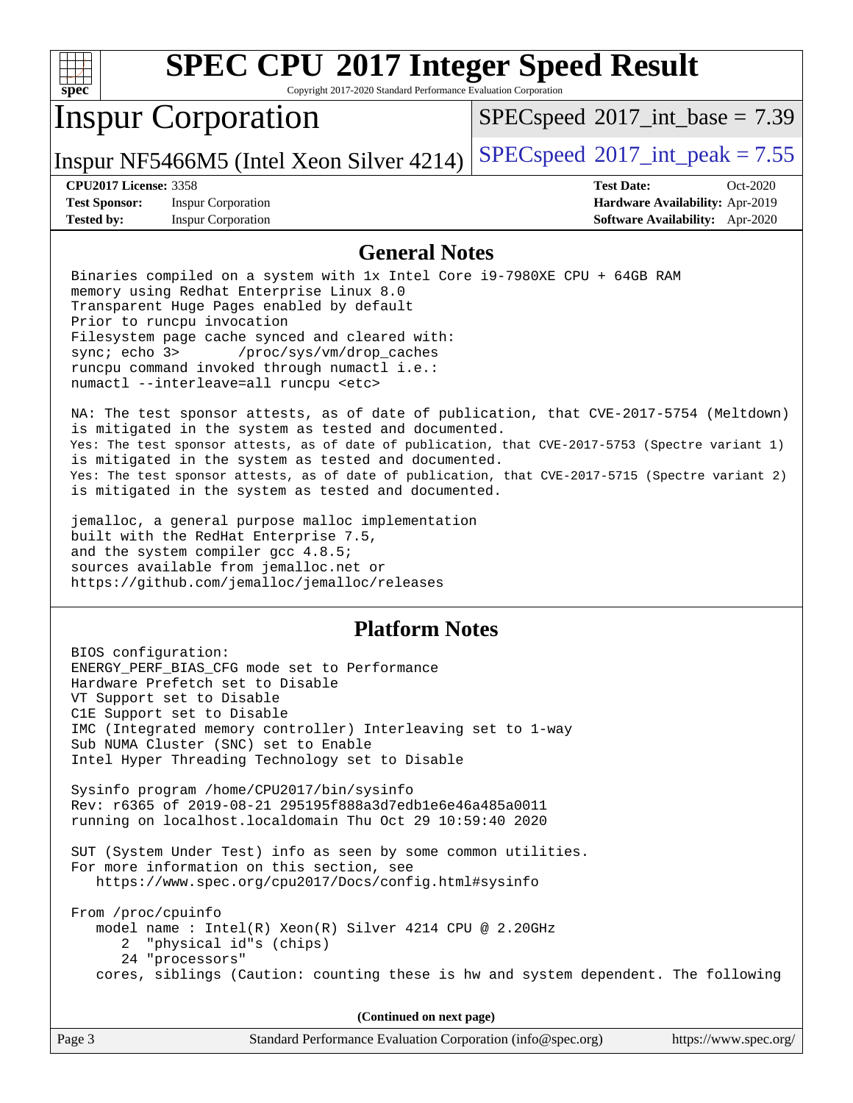| s<br>e<br>U<br>C |  |  |  |  |  |
|------------------|--|--|--|--|--|

Copyright 2017-2020 Standard Performance Evaluation Corporation

# Inspur Corporation

 $SPECspeed^{\circledcirc}2017\_int\_base = 7.39$  $SPECspeed^{\circledcirc}2017\_int\_base = 7.39$ 

Inspur NF5466M5 (Intel Xeon Silver 4214) [SPECspeed](http://www.spec.org/auto/cpu2017/Docs/result-fields.html#SPECspeed2017intpeak)<sup>®</sup>[2017\\_int\\_peak = 7](http://www.spec.org/auto/cpu2017/Docs/result-fields.html#SPECspeed2017intpeak).55

**[Test Sponsor:](http://www.spec.org/auto/cpu2017/Docs/result-fields.html#TestSponsor)** Inspur Corporation **[Hardware Availability:](http://www.spec.org/auto/cpu2017/Docs/result-fields.html#HardwareAvailability)** Apr-2019 **[Tested by:](http://www.spec.org/auto/cpu2017/Docs/result-fields.html#Testedby)** Inspur Corporation **[Software Availability:](http://www.spec.org/auto/cpu2017/Docs/result-fields.html#SoftwareAvailability)** Apr-2020

**[CPU2017 License:](http://www.spec.org/auto/cpu2017/Docs/result-fields.html#CPU2017License)** 3358 **[Test Date:](http://www.spec.org/auto/cpu2017/Docs/result-fields.html#TestDate)** Oct-2020

#### **[General Notes](http://www.spec.org/auto/cpu2017/Docs/result-fields.html#GeneralNotes)**

 Binaries compiled on a system with 1x Intel Core i9-7980XE CPU + 64GB RAM memory using Redhat Enterprise Linux 8.0 Transparent Huge Pages enabled by default Prior to runcpu invocation Filesystem page cache synced and cleared with: sync; echo 3> /proc/sys/vm/drop\_caches runcpu command invoked through numactl i.e.: numactl --interleave=all runcpu <etc>

 NA: The test sponsor attests, as of date of publication, that CVE-2017-5754 (Meltdown) is mitigated in the system as tested and documented. Yes: The test sponsor attests, as of date of publication, that CVE-2017-5753 (Spectre variant 1) is mitigated in the system as tested and documented. Yes: The test sponsor attests, as of date of publication, that CVE-2017-5715 (Spectre variant 2) is mitigated in the system as tested and documented.

 jemalloc, a general purpose malloc implementation built with the RedHat Enterprise 7.5, and the system compiler gcc 4.8.5; sources available from jemalloc.net or <https://github.com/jemalloc/jemalloc/releases>

#### **[Platform Notes](http://www.spec.org/auto/cpu2017/Docs/result-fields.html#PlatformNotes)**

 BIOS configuration: ENERGY\_PERF\_BIAS\_CFG mode set to Performance Hardware Prefetch set to Disable VT Support set to Disable C1E Support set to Disable IMC (Integrated memory controller) Interleaving set to 1-way Sub NUMA Cluster (SNC) set to Enable Intel Hyper Threading Technology set to Disable Sysinfo program /home/CPU2017/bin/sysinfo Rev: r6365 of 2019-08-21 295195f888a3d7edb1e6e46a485a0011 running on localhost.localdomain Thu Oct 29 10:59:40 2020 SUT (System Under Test) info as seen by some common utilities. For more information on this section, see <https://www.spec.org/cpu2017/Docs/config.html#sysinfo> From /proc/cpuinfo model name : Intel(R) Xeon(R) Silver 4214 CPU @ 2.20GHz 2 "physical id"s (chips) 24 "processors" cores, siblings (Caution: counting these is hw and system dependent. The following

**(Continued on next page)**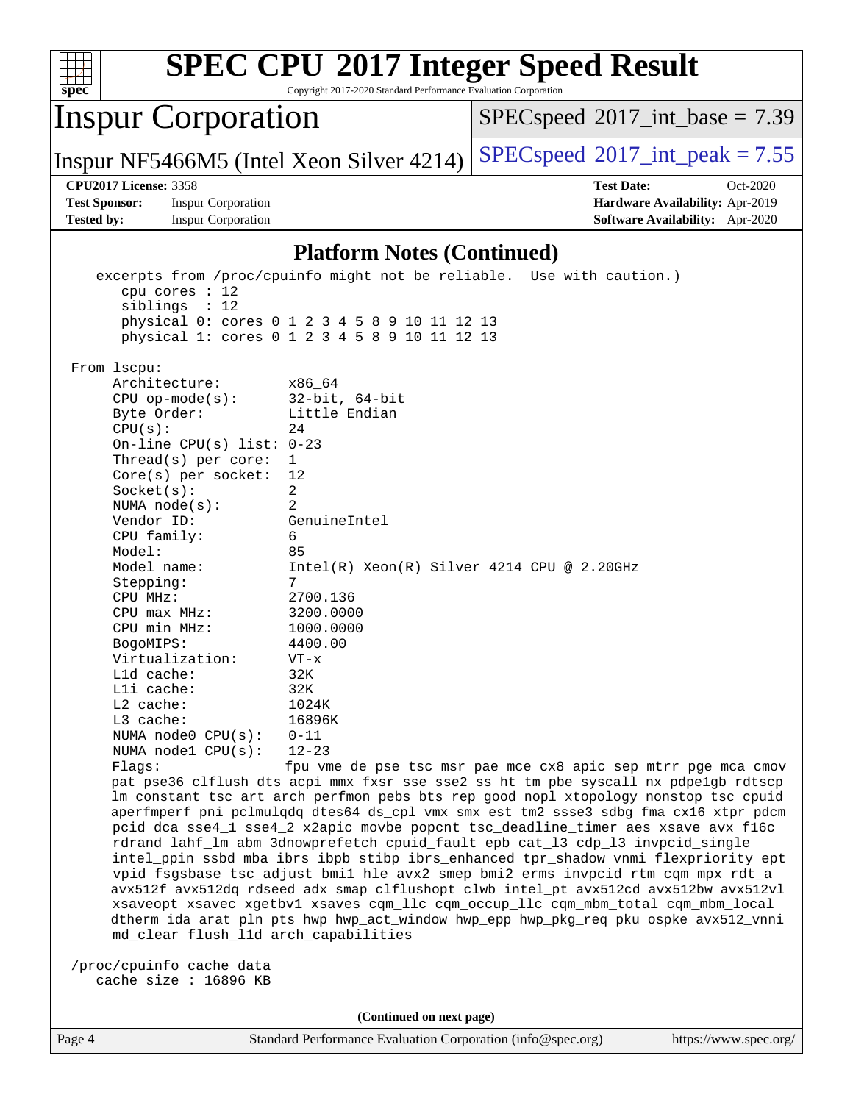| spec <sup>®</sup>                                                                                                                                                                                                                                                                                                                                                                                                                                                                                                                                                                                                                                                                                                                                                                                                                                                                                                                    | <b>SPEC CPU®2017 Integer Speed Result</b><br>Copyright 2017-2020 Standard Performance Evaluation Corporation                                                                                                                                                                                                                                                                                                                                                                                                                                                                                                                                                                                                                      |  |  |  |  |  |
|--------------------------------------------------------------------------------------------------------------------------------------------------------------------------------------------------------------------------------------------------------------------------------------------------------------------------------------------------------------------------------------------------------------------------------------------------------------------------------------------------------------------------------------------------------------------------------------------------------------------------------------------------------------------------------------------------------------------------------------------------------------------------------------------------------------------------------------------------------------------------------------------------------------------------------------|-----------------------------------------------------------------------------------------------------------------------------------------------------------------------------------------------------------------------------------------------------------------------------------------------------------------------------------------------------------------------------------------------------------------------------------------------------------------------------------------------------------------------------------------------------------------------------------------------------------------------------------------------------------------------------------------------------------------------------------|--|--|--|--|--|
| <b>Inspur Corporation</b>                                                                                                                                                                                                                                                                                                                                                                                                                                                                                                                                                                                                                                                                                                                                                                                                                                                                                                            | $SPEC speed$ <sup>®</sup> 2017_int_base = 7.39                                                                                                                                                                                                                                                                                                                                                                                                                                                                                                                                                                                                                                                                                    |  |  |  |  |  |
| Inspur NF5466M5 (Intel Xeon Silver 4214)                                                                                                                                                                                                                                                                                                                                                                                                                                                                                                                                                                                                                                                                                                                                                                                                                                                                                             | $SPEC speed^{\circ}2017\_int\_peak = 7.55$                                                                                                                                                                                                                                                                                                                                                                                                                                                                                                                                                                                                                                                                                        |  |  |  |  |  |
| <b>CPU2017 License: 3358</b><br><b>Test Sponsor:</b><br><b>Inspur Corporation</b><br><b>Tested by:</b><br><b>Inspur Corporation</b>                                                                                                                                                                                                                                                                                                                                                                                                                                                                                                                                                                                                                                                                                                                                                                                                  | <b>Test Date:</b><br>Oct-2020<br>Hardware Availability: Apr-2019<br>Software Availability: Apr-2020                                                                                                                                                                                                                                                                                                                                                                                                                                                                                                                                                                                                                               |  |  |  |  |  |
|                                                                                                                                                                                                                                                                                                                                                                                                                                                                                                                                                                                                                                                                                                                                                                                                                                                                                                                                      | <b>Platform Notes (Continued)</b>                                                                                                                                                                                                                                                                                                                                                                                                                                                                                                                                                                                                                                                                                                 |  |  |  |  |  |
| excerpts from /proc/cpuinfo might not be reliable. Use with caution.)<br>cpu cores $: 12$<br>siblings : 12<br>physical 0: cores 0 1 2 3 4 5 8 9 10 11 12 13<br>physical 1: cores 0 1 2 3 4 5 8 9 10 11 12 13<br>From 1scpu:<br>Architecture:<br>x86_64<br>$32$ -bit, $64$ -bit<br>$CPU$ op-mode(s):<br>Little Endian<br>Byte Order:<br>CPU(s):<br>24<br>On-line CPU(s) list: $0-23$<br>Thread(s) per core:<br>$\mathbf 1$<br>12<br>Core(s) per socket:<br>2<br>Socket(s):<br>$\overline{2}$<br>NUMA $node(s):$<br>Vendor ID:<br>GenuineIntel<br>CPU family:<br>6<br>Model:<br>85<br>Model name:<br>7<br>Stepping:<br>CPU MHz:<br>2700.136<br>3200.0000<br>$CPU$ max $MHz:$<br>CPU min MHz:<br>1000.0000<br>4400.00<br>BogoMIPS:<br>Virtualization:<br>$VT - x$<br>32K<br>Lld cache:<br>32K<br>Lli cache:<br>L2 cache:<br>1024K<br>L3 cache:<br>16896K<br>NUMA node0 CPU(s):<br>$0 - 11$<br>NUMA nodel CPU(s):<br>$12 - 23$<br>Flags: | $Intel(R) Xeon(R) Silver 4214 CPU @ 2.20GHz$<br>fpu vme de pse tsc msr pae mce cx8 apic sep mtrr pge mca cmov<br>pat pse36 clflush dts acpi mmx fxsr sse sse2 ss ht tm pbe syscall nx pdpe1gb rdtscp<br>lm constant_tsc art arch_perfmon pebs bts rep_good nopl xtopology nonstop_tsc cpuid<br>aperfmperf pni pclmulqdq dtes64 ds_cpl vmx smx est tm2 ssse3 sdbg fma cx16 xtpr pdcm<br>pcid dca sse4_1 sse4_2 x2apic movbe popcnt tsc_deadline_timer aes xsave avx f16c<br>rdrand lahf_lm abm 3dnowprefetch cpuid_fault epb cat_13 cdp_13 invpcid_single<br>intel_ppin ssbd mba ibrs ibpb stibp ibrs_enhanced tpr_shadow vnmi flexpriority ept<br>vpid fsgsbase tsc_adjust bmil hle avx2 smep bmi2 erms invpcid rtm cqm mpx rdt_a |  |  |  |  |  |
| avx512f avx512dq rdseed adx smap clflushopt clwb intel_pt avx512cd avx512bw avx512vl<br>xsaveopt xsavec xgetbvl xsaves cqm_llc cqm_occup_llc cqm_mbm_total cqm_mbm_local<br>dtherm ida arat pln pts hwp hwp_act_window hwp_epp hwp_pkg_req pku ospke avx512_vnni<br>md_clear flush_l1d arch_capabilities                                                                                                                                                                                                                                                                                                                                                                                                                                                                                                                                                                                                                             |                                                                                                                                                                                                                                                                                                                                                                                                                                                                                                                                                                                                                                                                                                                                   |  |  |  |  |  |
| /proc/cpuinfo cache data<br>cache size : 16896 KB                                                                                                                                                                                                                                                                                                                                                                                                                                                                                                                                                                                                                                                                                                                                                                                                                                                                                    |                                                                                                                                                                                                                                                                                                                                                                                                                                                                                                                                                                                                                                                                                                                                   |  |  |  |  |  |
|                                                                                                                                                                                                                                                                                                                                                                                                                                                                                                                                                                                                                                                                                                                                                                                                                                                                                                                                      | (Continued on next page)                                                                                                                                                                                                                                                                                                                                                                                                                                                                                                                                                                                                                                                                                                          |  |  |  |  |  |
| Page 4                                                                                                                                                                                                                                                                                                                                                                                                                                                                                                                                                                                                                                                                                                                                                                                                                                                                                                                               | Standard Performance Evaluation Corporation (info@spec.org)<br>https://www.spec.org/                                                                                                                                                                                                                                                                                                                                                                                                                                                                                                                                                                                                                                              |  |  |  |  |  |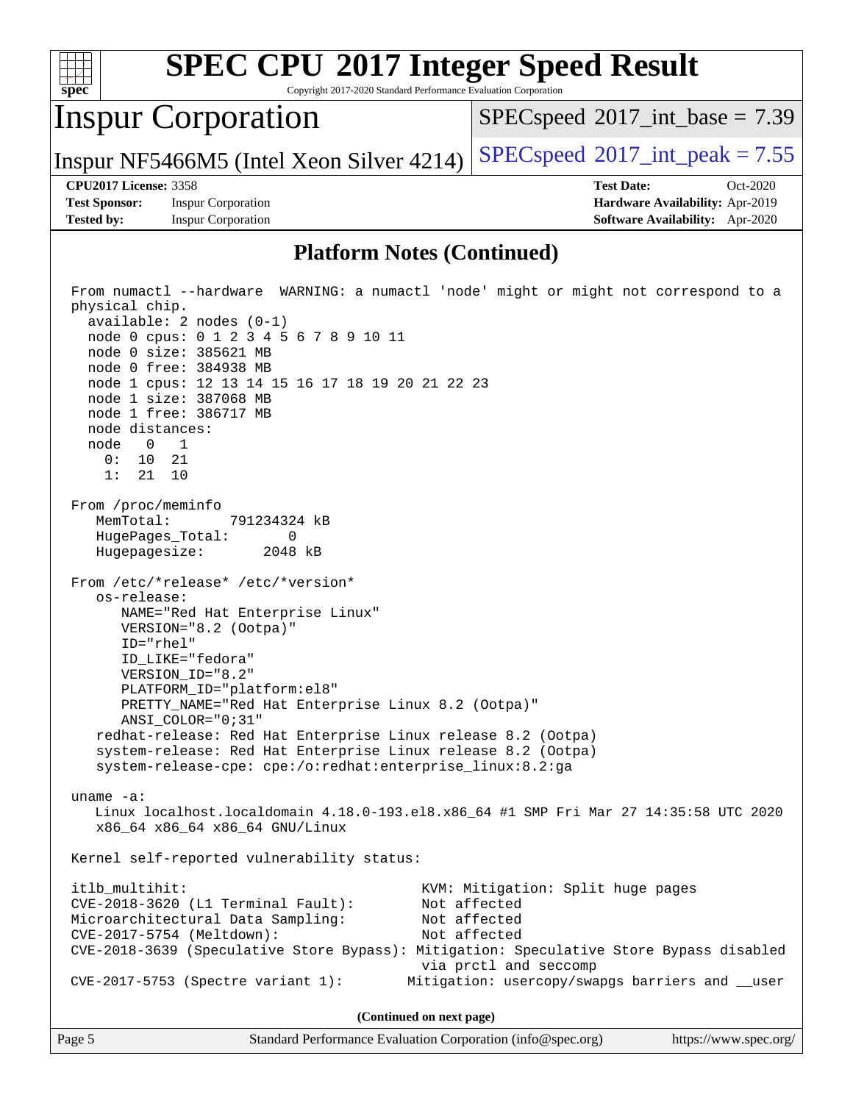

**(Continued on next page)**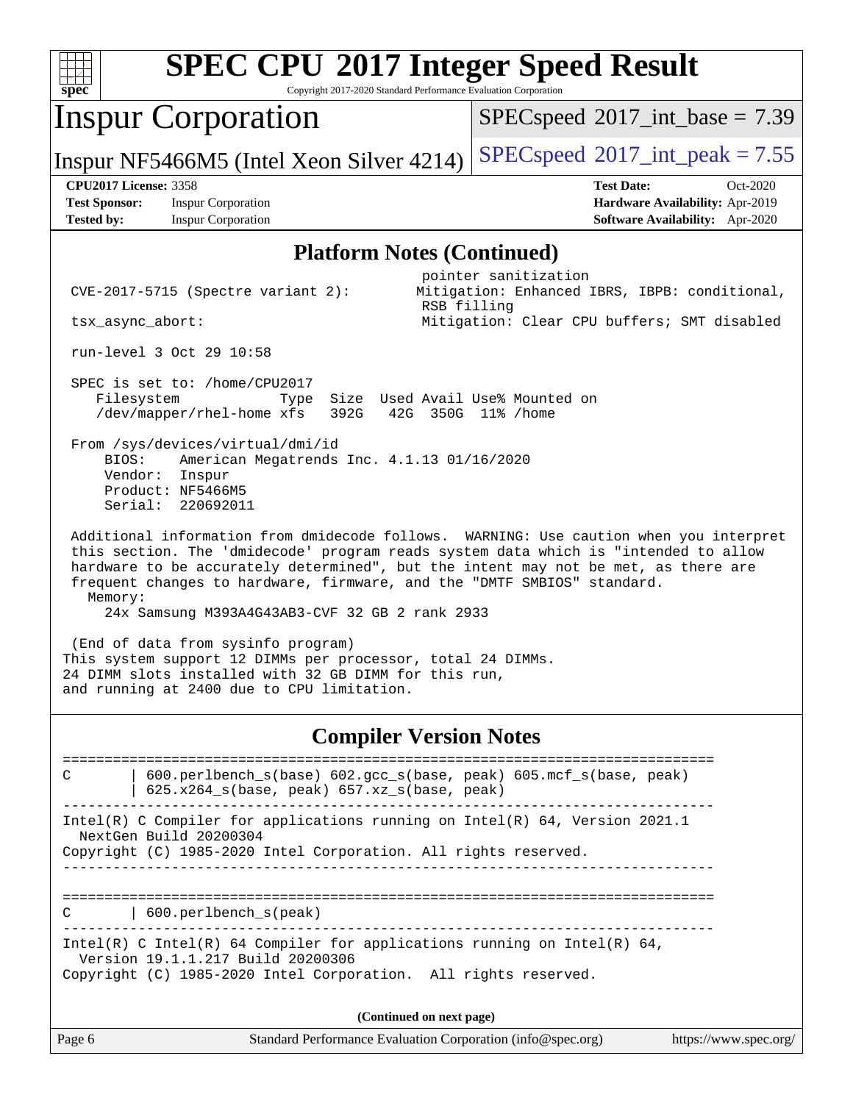| <b>SPEC CPU®2017 Integer Speed Result</b><br>Copyright 2017-2020 Standard Performance Evaluation Corporation<br>spec                                                                                                                                                                                                                           |                                                                                                                      |  |  |  |  |  |  |  |
|------------------------------------------------------------------------------------------------------------------------------------------------------------------------------------------------------------------------------------------------------------------------------------------------------------------------------------------------|----------------------------------------------------------------------------------------------------------------------|--|--|--|--|--|--|--|
| <b>Inspur Corporation</b>                                                                                                                                                                                                                                                                                                                      | $SPEC speed^{\circ}2017\_int\_base = 7.39$                                                                           |  |  |  |  |  |  |  |
| Inspur NF5466M5 (Intel Xeon Silver 4214)                                                                                                                                                                                                                                                                                                       | $SPEC speed^{\circ}2017\_int\_peak = 7.55$                                                                           |  |  |  |  |  |  |  |
| <b>CPU2017 License: 3358</b><br><b>Test Sponsor:</b><br><b>Inspur Corporation</b><br><b>Inspur Corporation</b><br><b>Tested by:</b>                                                                                                                                                                                                            | <b>Test Date:</b><br>Oct-2020<br>Hardware Availability: Apr-2019<br>Software Availability: Apr-2020                  |  |  |  |  |  |  |  |
| <b>Platform Notes (Continued)</b>                                                                                                                                                                                                                                                                                                              |                                                                                                                      |  |  |  |  |  |  |  |
| CVE-2017-5715 (Spectre variant 2):<br>RSB filling<br>tsx_async_abort:                                                                                                                                                                                                                                                                          | pointer sanitization<br>Mitigation: Enhanced IBRS, IBPB: conditional,<br>Mitigation: Clear CPU buffers; SMT disabled |  |  |  |  |  |  |  |
| run-level 3 Oct 29 10:58                                                                                                                                                                                                                                                                                                                       |                                                                                                                      |  |  |  |  |  |  |  |
| SPEC is set to: /home/CPU2017<br>Filesystem<br>Size Used Avail Use% Mounted on<br>Type<br>/dev/mapper/rhel-home xfs<br>392G<br>42G<br>350G 11% / home                                                                                                                                                                                          |                                                                                                                      |  |  |  |  |  |  |  |
| From /sys/devices/virtual/dmi/id<br>BIOS:<br>American Megatrends Inc. 4.1.13 01/16/2020<br>Vendor:<br>Inspur<br>Product: NF5466M5<br>Serial:<br>220692011                                                                                                                                                                                      |                                                                                                                      |  |  |  |  |  |  |  |
| Additional information from dmidecode follows. WARNING: Use caution when you interpret<br>this section. The 'dmidecode' program reads system data which is "intended to allow<br>hardware to be accurately determined", but the intent may not be met, as there are<br>frequent changes to hardware, firmware, and the "DMTF SMBIOS" standard. |                                                                                                                      |  |  |  |  |  |  |  |
| Memory:<br>24x Samsung M393A4G43AB3-CVF 32 GB 2 rank 2933                                                                                                                                                                                                                                                                                      |                                                                                                                      |  |  |  |  |  |  |  |
| (End of data from sysinfo program)<br>and running at 2400 due to CPU limitation.                                                                                                                                                                                                                                                               | This system support 12 DIMMs per processor, total 24 DIMMs.<br>24 DIMM slots installed with 32 GB DIMM for this run, |  |  |  |  |  |  |  |
|                                                                                                                                                                                                                                                                                                                                                |                                                                                                                      |  |  |  |  |  |  |  |

#### **[Compiler Version Notes](http://www.spec.org/auto/cpu2017/Docs/result-fields.html#CompilerVersionNotes)**

Page 6 Standard Performance Evaluation Corporation [\(info@spec.org\)](mailto:info@spec.org) <https://www.spec.org/> ============================================================================== C | 600.perlbench\_s(base) 602.gcc\_s(base, peak) 605.mcf\_s(base, peak) | 625.x264  $s(base, peak)$  657.xz  $s(base, peak)$ ------------------------------------------------------------------------------ Intel(R) C Compiler for applications running on Intel(R) 64, Version 2021.1 NextGen Build 20200304 Copyright (C) 1985-2020 Intel Corporation. All rights reserved. ------------------------------------------------------------------------------ ============================================================================== C | 600.perlbench\_s(peak) ------------------------------------------------------------------------------ Intel(R) C Intel(R) 64 Compiler for applications running on Intel(R)  $64$ , Version 19.1.1.217 Build 20200306 Copyright (C) 1985-2020 Intel Corporation. All rights reserved. **(Continued on next page)**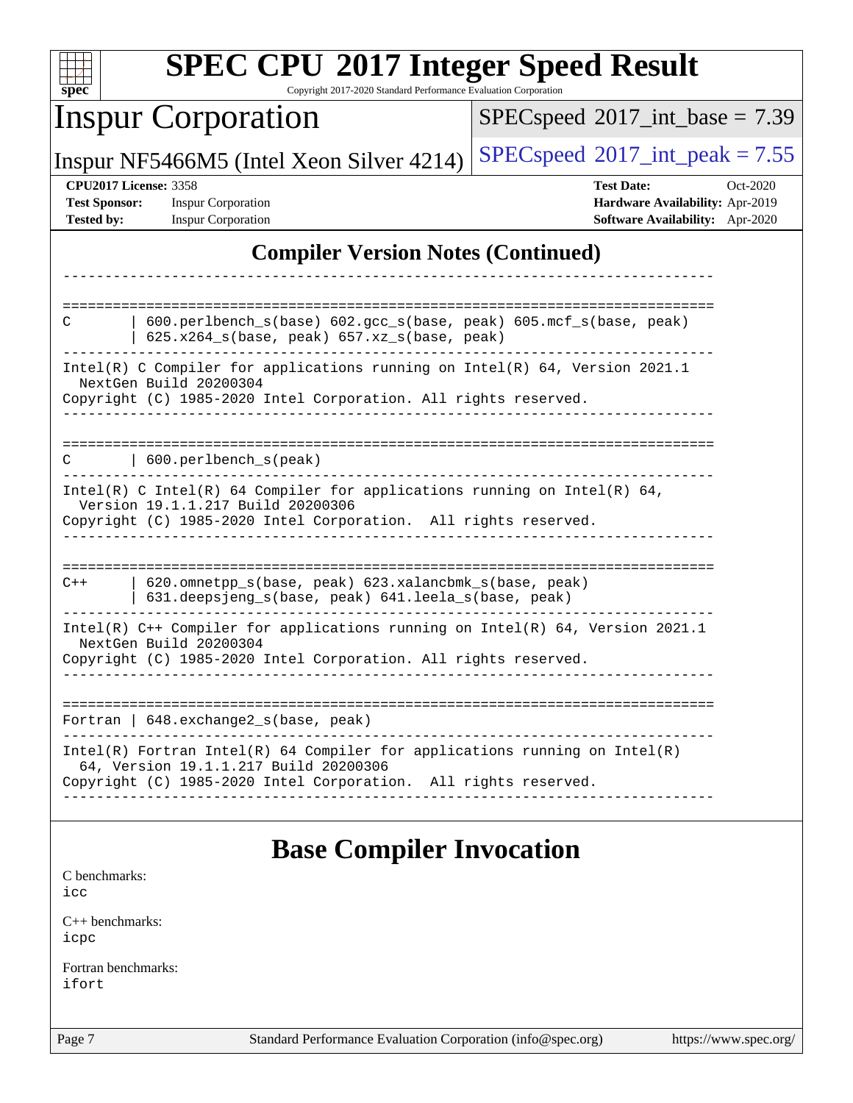| <b>SPEC CPU®2017 Integer Speed Result</b><br>Copyright 2017-2020 Standard Performance Evaluation Corporation<br>$spec^*$                                                                 |                                                                                                              |  |  |  |  |
|------------------------------------------------------------------------------------------------------------------------------------------------------------------------------------------|--------------------------------------------------------------------------------------------------------------|--|--|--|--|
| <b>Inspur Corporation</b>                                                                                                                                                                | $SPEC speed^{\circ}2017\_int\_base = 7.39$                                                                   |  |  |  |  |
| Inspur NF5466M5 (Intel Xeon Silver 4214)                                                                                                                                                 | $SPEC speed^{\circ}2017\_int\_peak = 7.55$                                                                   |  |  |  |  |
| <b>CPU2017 License: 3358</b><br><b>Inspur Corporation</b><br><b>Test Sponsor:</b><br><b>Inspur Corporation</b><br><b>Tested by:</b>                                                      | <b>Test Date:</b><br>$Oct-2020$<br>Hardware Availability: Apr-2019<br><b>Software Availability:</b> Apr-2020 |  |  |  |  |
| <b>Compiler Version Notes (Continued)</b>                                                                                                                                                |                                                                                                              |  |  |  |  |
|                                                                                                                                                                                          |                                                                                                              |  |  |  |  |
| 600.perlbench_s(base) 602.gcc_s(base, peak) 605.mcf_s(base, peak)<br>C<br>625.x264_s(base, peak) 657.xz_s(base, peak)                                                                    |                                                                                                              |  |  |  |  |
| Intel(R) C Compiler for applications running on Intel(R) $64$ , Version 2021.1<br>NextGen Build 20200304                                                                                 |                                                                                                              |  |  |  |  |
| Copyright (C) 1985-2020 Intel Corporation. All rights reserved.                                                                                                                          |                                                                                                              |  |  |  |  |
| 600.perlbench_s(peak)<br>C                                                                                                                                                               |                                                                                                              |  |  |  |  |
| Intel(R) C Intel(R) 64 Compiler for applications running on Intel(R) 64,<br>Version 19.1.1.217 Build 20200306<br>Copyright (C) 1985-2020 Intel Corporation. All rights reserved.         |                                                                                                              |  |  |  |  |
|                                                                                                                                                                                          |                                                                                                              |  |  |  |  |
| 620.omnetpp_s(base, peak) 623.xalancbmk_s(base, peak)<br>$C++$<br>631.deepsjeng_s(base, peak) 641.leela_s(base, peak)                                                                    |                                                                                                              |  |  |  |  |
| Intel(R) C++ Compiler for applications running on Intel(R) 64, Version 2021.1<br>NextGen Build 20200304<br>Copyright (C) 1985-2020 Intel Corporation. All rights reserved.               |                                                                                                              |  |  |  |  |
| Fortran   648. exchange2_s(base, peak)                                                                                                                                                   |                                                                                                              |  |  |  |  |
| $Intel(R)$ Fortran Intel(R) 64 Compiler for applications running on Intel(R)<br>64, Version 19.1.1.217 Build 20200306<br>Copyright (C) 1985-2020 Intel Corporation. All rights reserved. |                                                                                                              |  |  |  |  |
|                                                                                                                                                                                          |                                                                                                              |  |  |  |  |
| <b>Base Compiler Invocation</b>                                                                                                                                                          |                                                                                                              |  |  |  |  |
| C benchmarks:<br>icc                                                                                                                                                                     |                                                                                                              |  |  |  |  |
| $C_{++}$ benchmarks:<br>icpc                                                                                                                                                             |                                                                                                              |  |  |  |  |
| Fortran benchmarks:<br>ifort                                                                                                                                                             |                                                                                                              |  |  |  |  |
| Page 7<br>Standard Performance Evaluation Corporation (info@spec.org)                                                                                                                    | https://www.spec.org/                                                                                        |  |  |  |  |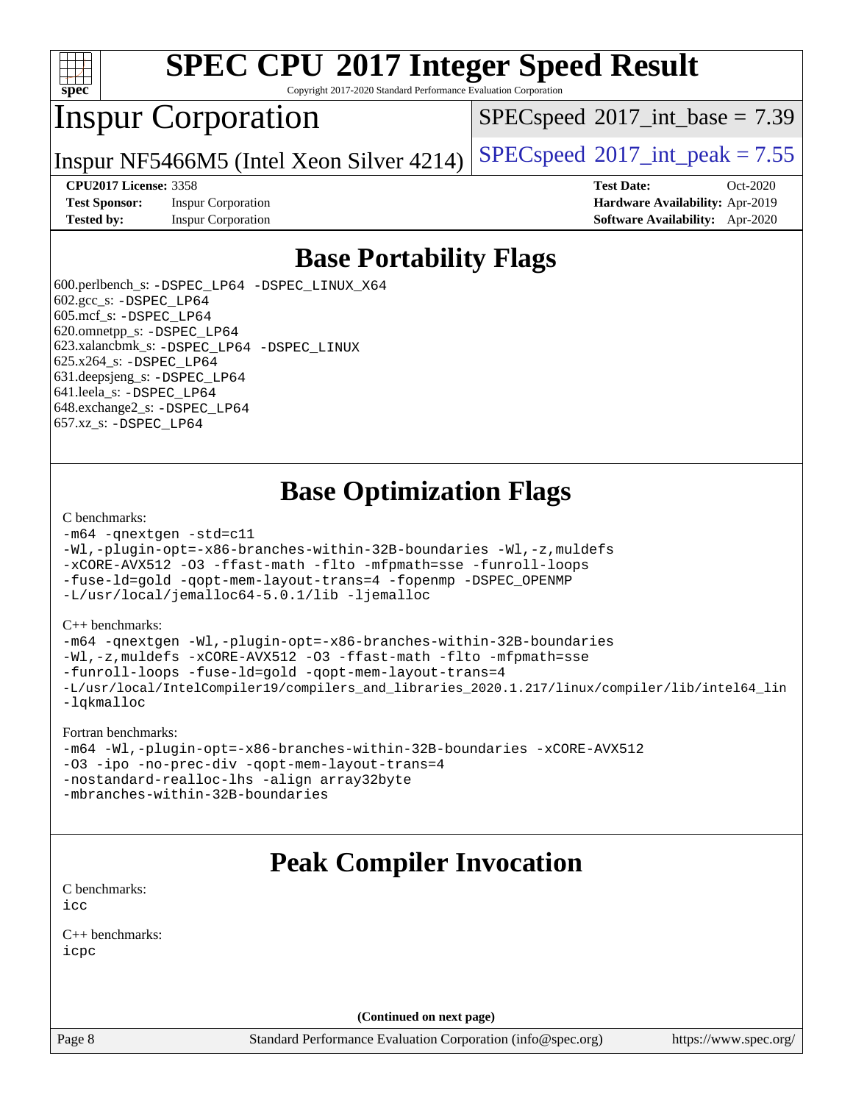

Copyright 2017-2020 Standard Performance Evaluation Corporation

## Inspur Corporation

 $SPECspeed^{\circ}2017\_int\_base = 7.39$  $SPECspeed^{\circ}2017\_int\_base = 7.39$ 

Inspur NF5466M5 (Intel Xeon Silver 4214) [SPECspeed](http://www.spec.org/auto/cpu2017/Docs/result-fields.html#SPECspeed2017intpeak)<sup>®</sup>[2017\\_int\\_peak = 7](http://www.spec.org/auto/cpu2017/Docs/result-fields.html#SPECspeed2017intpeak).55

**[Test Sponsor:](http://www.spec.org/auto/cpu2017/Docs/result-fields.html#TestSponsor)** Inspur Corporation **[Hardware Availability:](http://www.spec.org/auto/cpu2017/Docs/result-fields.html#HardwareAvailability)** Apr-2019

**[CPU2017 License:](http://www.spec.org/auto/cpu2017/Docs/result-fields.html#CPU2017License)** 3358 **[Test Date:](http://www.spec.org/auto/cpu2017/Docs/result-fields.html#TestDate)** Oct-2020 **[Tested by:](http://www.spec.org/auto/cpu2017/Docs/result-fields.html#Testedby)** Inspur Corporation **[Software Availability:](http://www.spec.org/auto/cpu2017/Docs/result-fields.html#SoftwareAvailability)** Apr-2020

### **[Base Portability Flags](http://www.spec.org/auto/cpu2017/Docs/result-fields.html#BasePortabilityFlags)**

 600.perlbench\_s: [-DSPEC\\_LP64](http://www.spec.org/cpu2017/results/res2020q4/cpu2017-20201109-24377.flags.html#b600.perlbench_s_basePORTABILITY_DSPEC_LP64) [-DSPEC\\_LINUX\\_X64](http://www.spec.org/cpu2017/results/res2020q4/cpu2017-20201109-24377.flags.html#b600.perlbench_s_baseCPORTABILITY_DSPEC_LINUX_X64) 602.gcc\_s: [-DSPEC\\_LP64](http://www.spec.org/cpu2017/results/res2020q4/cpu2017-20201109-24377.flags.html#suite_basePORTABILITY602_gcc_s_DSPEC_LP64) 605.mcf\_s: [-DSPEC\\_LP64](http://www.spec.org/cpu2017/results/res2020q4/cpu2017-20201109-24377.flags.html#suite_basePORTABILITY605_mcf_s_DSPEC_LP64) 620.omnetpp\_s: [-DSPEC\\_LP64](http://www.spec.org/cpu2017/results/res2020q4/cpu2017-20201109-24377.flags.html#suite_basePORTABILITY620_omnetpp_s_DSPEC_LP64) 623.xalancbmk\_s: [-DSPEC\\_LP64](http://www.spec.org/cpu2017/results/res2020q4/cpu2017-20201109-24377.flags.html#suite_basePORTABILITY623_xalancbmk_s_DSPEC_LP64) [-DSPEC\\_LINUX](http://www.spec.org/cpu2017/results/res2020q4/cpu2017-20201109-24377.flags.html#b623.xalancbmk_s_baseCXXPORTABILITY_DSPEC_LINUX) 625.x264\_s: [-DSPEC\\_LP64](http://www.spec.org/cpu2017/results/res2020q4/cpu2017-20201109-24377.flags.html#suite_basePORTABILITY625_x264_s_DSPEC_LP64) 631.deepsjeng\_s: [-DSPEC\\_LP64](http://www.spec.org/cpu2017/results/res2020q4/cpu2017-20201109-24377.flags.html#suite_basePORTABILITY631_deepsjeng_s_DSPEC_LP64) 641.leela\_s: [-DSPEC\\_LP64](http://www.spec.org/cpu2017/results/res2020q4/cpu2017-20201109-24377.flags.html#suite_basePORTABILITY641_leela_s_DSPEC_LP64) 648.exchange2\_s: [-DSPEC\\_LP64](http://www.spec.org/cpu2017/results/res2020q4/cpu2017-20201109-24377.flags.html#suite_basePORTABILITY648_exchange2_s_DSPEC_LP64) 657.xz\_s: [-DSPEC\\_LP64](http://www.spec.org/cpu2017/results/res2020q4/cpu2017-20201109-24377.flags.html#suite_basePORTABILITY657_xz_s_DSPEC_LP64)

## **[Base Optimization Flags](http://www.spec.org/auto/cpu2017/Docs/result-fields.html#BaseOptimizationFlags)**

#### [C benchmarks](http://www.spec.org/auto/cpu2017/Docs/result-fields.html#Cbenchmarks):

```
-m64 -qnextgen -std=c11
-Wl,-plugin-opt=-x86-branches-within-32B-boundaries -Wl,-z,muldefs
-xCORE-AVX512 -O3 -ffast-math -flto -mfpmath=sse -funroll-loops
-fuse-ld=gold -qopt-mem-layout-trans=4 -fopenmp -DSPEC_OPENMP
-L/usr/local/jemalloc64-5.0.1/lib -ljemalloc
```
#### [C++ benchmarks:](http://www.spec.org/auto/cpu2017/Docs/result-fields.html#CXXbenchmarks)

[-m64](http://www.spec.org/cpu2017/results/res2020q4/cpu2017-20201109-24377.flags.html#user_CXXbase_m64-icc) [-qnextgen](http://www.spec.org/cpu2017/results/res2020q4/cpu2017-20201109-24377.flags.html#user_CXXbase_f-qnextgen) [-Wl,-plugin-opt=-x86-branches-within-32B-boundaries](http://www.spec.org/cpu2017/results/res2020q4/cpu2017-20201109-24377.flags.html#user_CXXbase_f-x86-branches-within-32B-boundaries_0098b4e4317ae60947b7b728078a624952a08ac37a3c797dfb4ffeb399e0c61a9dd0f2f44ce917e9361fb9076ccb15e7824594512dd315205382d84209e912f3) [-Wl,-z,muldefs](http://www.spec.org/cpu2017/results/res2020q4/cpu2017-20201109-24377.flags.html#user_CXXbase_link_force_multiple1_b4cbdb97b34bdee9ceefcfe54f4c8ea74255f0b02a4b23e853cdb0e18eb4525ac79b5a88067c842dd0ee6996c24547a27a4b99331201badda8798ef8a743f577) [-xCORE-AVX512](http://www.spec.org/cpu2017/results/res2020q4/cpu2017-20201109-24377.flags.html#user_CXXbase_f-xCORE-AVX512) [-O3](http://www.spec.org/cpu2017/results/res2020q4/cpu2017-20201109-24377.flags.html#user_CXXbase_f-O3) [-ffast-math](http://www.spec.org/cpu2017/results/res2020q4/cpu2017-20201109-24377.flags.html#user_CXXbase_f-ffast-math) [-flto](http://www.spec.org/cpu2017/results/res2020q4/cpu2017-20201109-24377.flags.html#user_CXXbase_f-flto) [-mfpmath=sse](http://www.spec.org/cpu2017/results/res2020q4/cpu2017-20201109-24377.flags.html#user_CXXbase_f-mfpmath_70eb8fac26bde974f8ab713bc9086c5621c0b8d2f6c86f38af0bd7062540daf19db5f3a066d8c6684be05d84c9b6322eb3b5be6619d967835195b93d6c02afa1) [-funroll-loops](http://www.spec.org/cpu2017/results/res2020q4/cpu2017-20201109-24377.flags.html#user_CXXbase_f-funroll-loops) [-fuse-ld=gold](http://www.spec.org/cpu2017/results/res2020q4/cpu2017-20201109-24377.flags.html#user_CXXbase_f-fuse-ld_920b3586e2b8c6e0748b9c84fa9b744736ba725a32cab14ad8f3d4ad28eecb2f59d1144823d2e17006539a88734fe1fc08fc3035f7676166309105a78aaabc32) [-qopt-mem-layout-trans=4](http://www.spec.org/cpu2017/results/res2020q4/cpu2017-20201109-24377.flags.html#user_CXXbase_f-qopt-mem-layout-trans_fa39e755916c150a61361b7846f310bcdf6f04e385ef281cadf3647acec3f0ae266d1a1d22d972a7087a248fd4e6ca390a3634700869573d231a252c784941a8) [-L/usr/local/IntelCompiler19/compilers\\_and\\_libraries\\_2020.1.217/linux/compiler/lib/intel64\\_lin](http://www.spec.org/cpu2017/results/res2020q4/cpu2017-20201109-24377.flags.html#user_CXXbase_linkpath_2cb6f503891ebf8baee7515f4e7d4ec1217444d1d05903cc0091ac4158de400651d2b2313a9fa414cb8a8f0e16ab029634f5c6db340f400369c190d4db8a54a0) [-lqkmalloc](http://www.spec.org/cpu2017/results/res2020q4/cpu2017-20201109-24377.flags.html#user_CXXbase_qkmalloc_link_lib_79a818439969f771c6bc311cfd333c00fc099dad35c030f5aab9dda831713d2015205805422f83de8875488a2991c0a156aaa600e1f9138f8fc37004abc96dc5)

#### [Fortran benchmarks:](http://www.spec.org/auto/cpu2017/Docs/result-fields.html#Fortranbenchmarks)

```
-m64 -Wl,-plugin-opt=-x86-branches-within-32B-boundaries -xCORE-AVX512
-O3 -ipo -no-prec-div -qopt-mem-layout-trans=4
-nostandard-realloc-lhs -align array32byte
-mbranches-within-32B-boundaries
```
## **[Peak Compiler Invocation](http://www.spec.org/auto/cpu2017/Docs/result-fields.html#PeakCompilerInvocation)**

[C benchmarks](http://www.spec.org/auto/cpu2017/Docs/result-fields.html#Cbenchmarks): [icc](http://www.spec.org/cpu2017/results/res2020q4/cpu2017-20201109-24377.flags.html#user_CCpeak_intel_icc_66fc1ee009f7361af1fbd72ca7dcefbb700085f36577c54f309893dd4ec40d12360134090235512931783d35fd58c0460139e722d5067c5574d8eaf2b3e37e92)

[C++ benchmarks:](http://www.spec.org/auto/cpu2017/Docs/result-fields.html#CXXbenchmarks) [icpc](http://www.spec.org/cpu2017/results/res2020q4/cpu2017-20201109-24377.flags.html#user_CXXpeak_intel_icpc_c510b6838c7f56d33e37e94d029a35b4a7bccf4766a728ee175e80a419847e808290a9b78be685c44ab727ea267ec2f070ec5dc83b407c0218cded6866a35d07)

**(Continued on next page)**

Page 8 Standard Performance Evaluation Corporation [\(info@spec.org\)](mailto:info@spec.org) <https://www.spec.org/>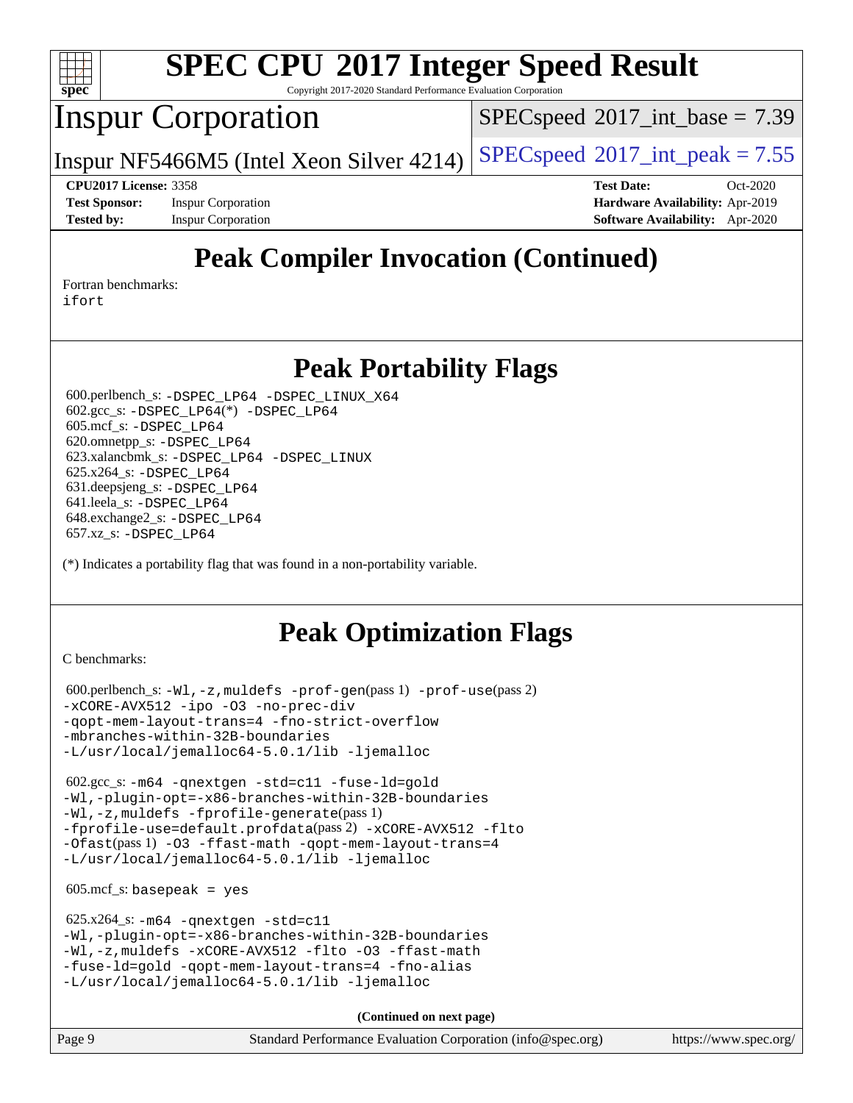

Copyright 2017-2020 Standard Performance Evaluation Corporation

## Inspur Corporation

 $SPECspeed^{\circ}2017\_int\_base = 7.39$  $SPECspeed^{\circ}2017\_int\_base = 7.39$ 

Inspur NF5466M5 (Intel Xeon Silver 4214) [SPECspeed](http://www.spec.org/auto/cpu2017/Docs/result-fields.html#SPECspeed2017intpeak)<sup>®</sup>[2017\\_int\\_peak = 7](http://www.spec.org/auto/cpu2017/Docs/result-fields.html#SPECspeed2017intpeak).55

**[CPU2017 License:](http://www.spec.org/auto/cpu2017/Docs/result-fields.html#CPU2017License)** 3358 **[Test Date:](http://www.spec.org/auto/cpu2017/Docs/result-fields.html#TestDate)** Oct-2020 **[Test Sponsor:](http://www.spec.org/auto/cpu2017/Docs/result-fields.html#TestSponsor)** Inspur Corporation **[Hardware Availability:](http://www.spec.org/auto/cpu2017/Docs/result-fields.html#HardwareAvailability)** Apr-2019 **[Tested by:](http://www.spec.org/auto/cpu2017/Docs/result-fields.html#Testedby)** Inspur Corporation **[Software Availability:](http://www.spec.org/auto/cpu2017/Docs/result-fields.html#SoftwareAvailability)** Apr-2020

# **[Peak Compiler Invocation \(Continued\)](http://www.spec.org/auto/cpu2017/Docs/result-fields.html#PeakCompilerInvocation)**

[Fortran benchmarks](http://www.spec.org/auto/cpu2017/Docs/result-fields.html#Fortranbenchmarks):

[ifort](http://www.spec.org/cpu2017/results/res2020q4/cpu2017-20201109-24377.flags.html#user_FCpeak_intel_ifort_8111460550e3ca792625aed983ce982f94888b8b503583aa7ba2b8303487b4d8a21a13e7191a45c5fd58ff318f48f9492884d4413fa793fd88dd292cad7027ca)

### **[Peak Portability Flags](http://www.spec.org/auto/cpu2017/Docs/result-fields.html#PeakPortabilityFlags)**

 600.perlbench\_s: [-DSPEC\\_LP64](http://www.spec.org/cpu2017/results/res2020q4/cpu2017-20201109-24377.flags.html#b600.perlbench_s_peakPORTABILITY_DSPEC_LP64) [-DSPEC\\_LINUX\\_X64](http://www.spec.org/cpu2017/results/res2020q4/cpu2017-20201109-24377.flags.html#b600.perlbench_s_peakCPORTABILITY_DSPEC_LINUX_X64) 602.gcc\_s: [-DSPEC\\_LP64](http://www.spec.org/cpu2017/results/res2020q4/cpu2017-20201109-24377.flags.html#suite_peakCCLD602_gcc_s_DSPEC_LP64)(\*) [-DSPEC\\_LP64](http://www.spec.org/cpu2017/results/res2020q4/cpu2017-20201109-24377.flags.html#suite_peakPORTABILITY602_gcc_s_DSPEC_LP64) 605.mcf\_s: [-DSPEC\\_LP64](http://www.spec.org/cpu2017/results/res2020q4/cpu2017-20201109-24377.flags.html#suite_peakPORTABILITY605_mcf_s_DSPEC_LP64) 620.omnetpp\_s: [-DSPEC\\_LP64](http://www.spec.org/cpu2017/results/res2020q4/cpu2017-20201109-24377.flags.html#suite_peakPORTABILITY620_omnetpp_s_DSPEC_LP64) 623.xalancbmk\_s: [-DSPEC\\_LP64](http://www.spec.org/cpu2017/results/res2020q4/cpu2017-20201109-24377.flags.html#suite_peakPORTABILITY623_xalancbmk_s_DSPEC_LP64) [-DSPEC\\_LINUX](http://www.spec.org/cpu2017/results/res2020q4/cpu2017-20201109-24377.flags.html#b623.xalancbmk_s_peakCXXPORTABILITY_DSPEC_LINUX) 625.x264\_s: [-DSPEC\\_LP64](http://www.spec.org/cpu2017/results/res2020q4/cpu2017-20201109-24377.flags.html#suite_peakPORTABILITY625_x264_s_DSPEC_LP64) 631.deepsjeng\_s: [-DSPEC\\_LP64](http://www.spec.org/cpu2017/results/res2020q4/cpu2017-20201109-24377.flags.html#suite_peakPORTABILITY631_deepsjeng_s_DSPEC_LP64) 641.leela\_s: [-DSPEC\\_LP64](http://www.spec.org/cpu2017/results/res2020q4/cpu2017-20201109-24377.flags.html#suite_peakPORTABILITY641_leela_s_DSPEC_LP64) 648.exchange2\_s: [-DSPEC\\_LP64](http://www.spec.org/cpu2017/results/res2020q4/cpu2017-20201109-24377.flags.html#suite_peakPORTABILITY648_exchange2_s_DSPEC_LP64) 657.xz\_s: [-DSPEC\\_LP64](http://www.spec.org/cpu2017/results/res2020q4/cpu2017-20201109-24377.flags.html#suite_peakPORTABILITY657_xz_s_DSPEC_LP64)

(\*) Indicates a portability flag that was found in a non-portability variable.

# **[Peak Optimization Flags](http://www.spec.org/auto/cpu2017/Docs/result-fields.html#PeakOptimizationFlags)**

[C benchmarks](http://www.spec.org/auto/cpu2017/Docs/result-fields.html#Cbenchmarks):

```
 600.perlbench_s: -Wl,-z,muldefs -prof-gen(pass 1) -prof-use(pass 2)
-xCORE-AVX512 -ipo -O3 -no-prec-div
-qopt-mem-layout-trans=4 -fno-strict-overflow
-mbranches-within-32B-boundaries
-L/usr/local/jemalloc64-5.0.1/lib -ljemalloc
```
 602.gcc\_s: [-m64](http://www.spec.org/cpu2017/results/res2020q4/cpu2017-20201109-24377.flags.html#user_peakCCLD602_gcc_s_m64-icc) [-qnextgen](http://www.spec.org/cpu2017/results/res2020q4/cpu2017-20201109-24377.flags.html#user_peakCCLD602_gcc_s_f-qnextgen) [-std=c11](http://www.spec.org/cpu2017/results/res2020q4/cpu2017-20201109-24377.flags.html#user_peakCCLD602_gcc_s_std-icc-std_0e1c27790398a4642dfca32ffe6c27b5796f9c2d2676156f2e42c9c44eaad0c049b1cdb667a270c34d979996257aeb8fc440bfb01818dbc9357bd9d174cb8524) [-fuse-ld=gold](http://www.spec.org/cpu2017/results/res2020q4/cpu2017-20201109-24377.flags.html#user_peakCCLD602_gcc_s_f-fuse-ld_920b3586e2b8c6e0748b9c84fa9b744736ba725a32cab14ad8f3d4ad28eecb2f59d1144823d2e17006539a88734fe1fc08fc3035f7676166309105a78aaabc32) [-Wl,-plugin-opt=-x86-branches-within-32B-boundaries](http://www.spec.org/cpu2017/results/res2020q4/cpu2017-20201109-24377.flags.html#user_peakLDFLAGS602_gcc_s_f-x86-branches-within-32B-boundaries_0098b4e4317ae60947b7b728078a624952a08ac37a3c797dfb4ffeb399e0c61a9dd0f2f44ce917e9361fb9076ccb15e7824594512dd315205382d84209e912f3) [-Wl,-z,muldefs](http://www.spec.org/cpu2017/results/res2020q4/cpu2017-20201109-24377.flags.html#user_peakEXTRA_LDFLAGS602_gcc_s_link_force_multiple1_b4cbdb97b34bdee9ceefcfe54f4c8ea74255f0b02a4b23e853cdb0e18eb4525ac79b5a88067c842dd0ee6996c24547a27a4b99331201badda8798ef8a743f577) [-fprofile-generate](http://www.spec.org/cpu2017/results/res2020q4/cpu2017-20201109-24377.flags.html#user_peakPASS1_CFLAGSPASS1_LDFLAGS602_gcc_s_fprofile-generate)(pass 1) [-fprofile-use=default.profdata](http://www.spec.org/cpu2017/results/res2020q4/cpu2017-20201109-24377.flags.html#user_peakPASS2_CFLAGSPASS2_LDFLAGS602_gcc_s_fprofile-use_56aeee182b92ec249f9670f17c9b8e7d83fe2d25538e35a2cf64c434b579a2235a8b8fc66ef5678d24461366bbab9d486c870d8a72905233fc08e43eefe3cd80)(pass 2) [-xCORE-AVX512](http://www.spec.org/cpu2017/results/res2020q4/cpu2017-20201109-24377.flags.html#user_peakCOPTIMIZEPASS1_CFLAGSPASS1_LDFLAGS602_gcc_s_f-xCORE-AVX512) [-flto](http://www.spec.org/cpu2017/results/res2020q4/cpu2017-20201109-24377.flags.html#user_peakCOPTIMIZEPASS1_CFLAGSPASS1_LDFLAGS602_gcc_s_f-flto) [-Ofast](http://www.spec.org/cpu2017/results/res2020q4/cpu2017-20201109-24377.flags.html#user_peakPASS1_CFLAGSPASS1_LDFLAGS602_gcc_s_f-Ofast)(pass 1) [-O3](http://www.spec.org/cpu2017/results/res2020q4/cpu2017-20201109-24377.flags.html#user_peakCOPTIMIZE602_gcc_s_f-O3) [-ffast-math](http://www.spec.org/cpu2017/results/res2020q4/cpu2017-20201109-24377.flags.html#user_peakCOPTIMIZE602_gcc_s_f-ffast-math) [-qopt-mem-layout-trans=4](http://www.spec.org/cpu2017/results/res2020q4/cpu2017-20201109-24377.flags.html#user_peakCOPTIMIZE602_gcc_s_f-qopt-mem-layout-trans_fa39e755916c150a61361b7846f310bcdf6f04e385ef281cadf3647acec3f0ae266d1a1d22d972a7087a248fd4e6ca390a3634700869573d231a252c784941a8) [-L/usr/local/jemalloc64-5.0.1/lib](http://www.spec.org/cpu2017/results/res2020q4/cpu2017-20201109-24377.flags.html#user_peakEXTRA_LIBS602_gcc_s_jemalloc_link_path64_1_cc289568b1a6c0fd3b62c91b824c27fcb5af5e8098e6ad028160d21144ef1b8aef3170d2acf0bee98a8da324cfe4f67d0a3d0c4cc4673d993d694dc2a0df248b) [-ljemalloc](http://www.spec.org/cpu2017/results/res2020q4/cpu2017-20201109-24377.flags.html#user_peakEXTRA_LIBS602_gcc_s_jemalloc_link_lib_d1249b907c500fa1c0672f44f562e3d0f79738ae9e3c4a9c376d49f265a04b9c99b167ecedbf6711b3085be911c67ff61f150a17b3472be731631ba4d0471706)

 $605.\text{mcf}\text{ s}:$  basepeak = yes

```
 625.x264_s: -m64 -qnextgen -std=c11
-Wl,-plugin-opt=-x86-branches-within-32B-boundaries
-Wl,-z,muldefs -xCORE-AVX512 -flto -O3 -ffast-math
-fuse-ld=gold -qopt-mem-layout-trans=4 -fno-alias
-L/usr/local/jemalloc64-5.0.1/lib -ljemalloc
```
**(Continued on next page)**